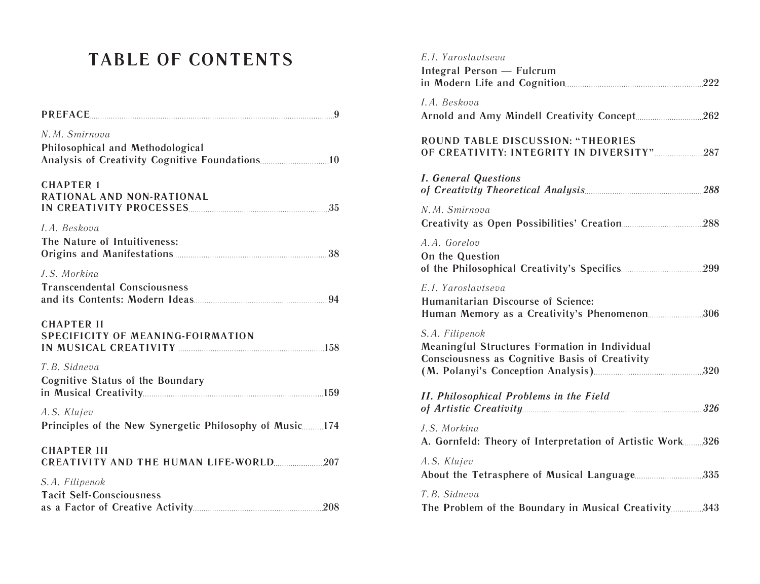## **TABLE OF CONTENTS**

| N.M. Smirnova<br>Philosophical and Methodological                      |
|------------------------------------------------------------------------|
| <b>CHAPTER 1</b><br>RATIONAL AND NON-RATIONAL                          |
| L.A. Beskova<br>The Nature of Intuitiveness:                           |
| J.S. Morkina<br><b>Transcendental Consciousness</b>                    |
| <b>CHAPTER II</b><br><b>SPECIFICITY OF MEANING-FOIRMATION</b>          |
| T.B. Sidneva<br>Cognitive Status of the Boundary                       |
| A.S. Klujev<br>Principles of the New Synergetic Philosophy of Music174 |
| <b>CHAPTER III</b><br><b>CREATIVITY AND THE HUMAN LIFE-WORLD 207</b>   |
| S.A. Filipenok<br><b>Tacit Self-Consciousness</b>                      |

| E.I. Yaroslavtseva<br>Integral Person — Fulcrum                                                                   |
|-------------------------------------------------------------------------------------------------------------------|
|                                                                                                                   |
| I.A. Beskova                                                                                                      |
| ROUND TABLE DISCUSSION: "THEORIES<br>OF CREATIVITY: INTEGRITY IN DIVERSITY" 287                                   |
| <b>I. General Questions</b>                                                                                       |
| N.M. Smirnova                                                                                                     |
| A.A. Gorelov<br>On the Question                                                                                   |
| E.I. Yaroslavtseva<br>Humanitarian Discourse of Science:<br>Human Memory as a Creativity's Phenomenon306          |
| S.A. Filipenok<br>Meaningful Structures Formation in Individual<br>Consciousness as Cognitive Basis of Creativity |
| <b>II. Philosophical Problems in the Field</b>                                                                    |
| J.S. Morkina<br>A. Gornfeld: Theory of Interpretation of Artistic Work326                                         |
| A.S. Klujev<br>About the Tetrasphere of Musical Language335                                                       |
| T.B. Sidneva<br>The Problem of the Boundary in Musical Creativity 343                                             |